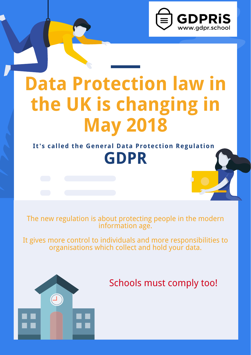

# **Data Protection law in the UK is changing in**



### The new regulation is about protecting people in the modern information age.

It gives more control to individuals and more responsibilities to organisations which collect and hold your data.



# Schools must comply too!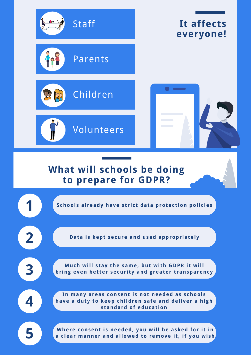

# **everyone!**









**Much will s tay the same, but wi th GDPR i t will bring** even better security and greater transparency

**School s al ready have s t r i c t data protec t ion poli c ies**

**Data i s kept secure and used appropr iately**

**1**

**2**



**4**





**You and your children may be asked for consent Where consent i s needed, you will be asked for i t in a c lear manner and allowed to remove i t , if you wi sh**

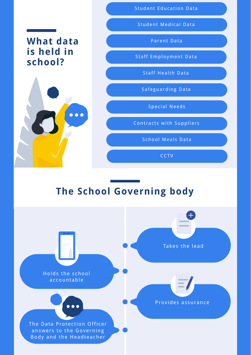# **What data is held in school?**



#### Student Education Data

#### Student Medical Data

Parent Data

#### Staff Employment Data

Staff Health Data

#### Holds the school ac countable

The Data Protection Officer answers to the Governing Body and the Headteacher

#### Provides assurance

# **The School Governing body**